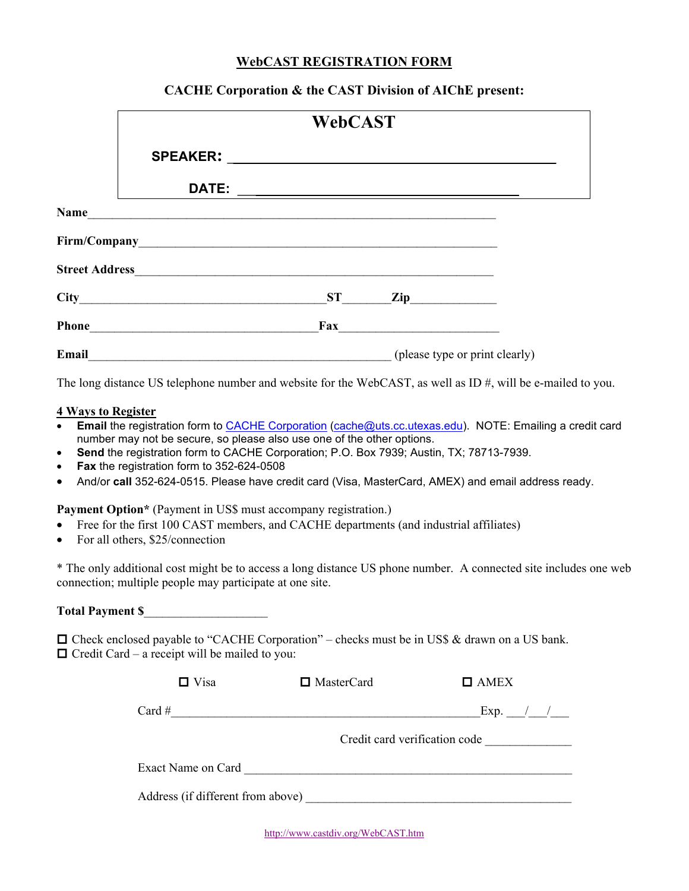## **WebCAST REGISTRATION FORM**

## **CACHE Corporation & the CAST Division of AIChE present:**

|             | <b>WebCAST</b>                                           |     |                                                                                                                                                                                                                                                                                                                                                                                    |  |
|-------------|----------------------------------------------------------|-----|------------------------------------------------------------------------------------------------------------------------------------------------------------------------------------------------------------------------------------------------------------------------------------------------------------------------------------------------------------------------------------|--|
|             |                                                          |     |                                                                                                                                                                                                                                                                                                                                                                                    |  |
|             | DATE:                                                    |     | <u> 1989 - Johann Barn, mars ann an t-Amhainn an t-Amhainn an t-Amhainn an t-Amhainn an t-Amhainn an t-Amhainn an </u>                                                                                                                                                                                                                                                             |  |
| <b>Name</b> | <u> 1989 - Jan Barbara, martxa al III-lea (h. 1989).</u> |     |                                                                                                                                                                                                                                                                                                                                                                                    |  |
|             |                                                          |     |                                                                                                                                                                                                                                                                                                                                                                                    |  |
|             |                                                          |     |                                                                                                                                                                                                                                                                                                                                                                                    |  |
|             |                                                          |     | $ST$ $\qquad \qquad$ $\qquad \qquad$ $\qquad \qquad$ $\qquad \qquad$ $\qquad \qquad$ $\qquad \qquad$ $\qquad \qquad$ $\qquad \qquad$ $\qquad \qquad$ $\qquad \qquad$ $\qquad$ $\qquad \qquad$ $\qquad \qquad$ $\qquad \qquad$ $\qquad \qquad$ $\qquad$ $\qquad \qquad$ $\qquad$ $\qquad$ $\qquad$ $\qquad$ $\qquad$ $\qquad$ $\qquad$ $\qquad$ $\qquad$ $\qquad$ $\qquad$ $\qquad$ |  |
| Phone       | <u> 1980 - Jan Alexandria, política establece</u>        | Fax | <u> 1980 - John Stein, Amerikaansk politiker (</u>                                                                                                                                                                                                                                                                                                                                 |  |
| Email       |                                                          |     | (please type or print clearly)                                                                                                                                                                                                                                                                                                                                                     |  |

The long distance US telephone number and website for the WebCAST, as well as ID #, will be e-mailed to you.

## **4 Ways to Register**

- **Email** the registration form to CACHE Corporation (cache@uts.cc.utexas.edu). NOTE: Emailing a credit card number may not be secure, so please also use one of the other options.
- **Send** the registration form to CACHE Corporation; P.O. Box 7939; Austin, TX; 78713-7939.
- **Fax** the registration form to 352-624-0508
- And/or **call** 352-624-0515. Please have credit card (Visa, MasterCard, AMEX) and email address ready.

**Payment Option\*** (Payment in US\$ must accompany registration.)

- Free for the first 100 CAST members, and CACHE departments (and industrial affiliates)
- For all others, \$25/connection

\* The only additional cost might be to access a long distance US phone number. A connected site includes one web connection; multiple people may participate at one site.

## **Total Payment \$**\_\_\_\_\_\_\_\_\_\_\_\_\_\_\_\_\_\_\_\_

 $\Box$  Check enclosed payable to "CACHE Corporation" – checks must be in US\$ & drawn on a US bank.  $\Box$  Credit Card – a receipt will be mailed to you:

| $\Box$ Visa                       | $\Box$ MasterCard | $\Box$ AMEX                                 |  |  |
|-----------------------------------|-------------------|---------------------------------------------|--|--|
| Card #                            |                   | Exp. $\_\_\_\_\_\_\_\_\_\_\_\_\_\_\_\_\_\_$ |  |  |
|                                   |                   | Credit card verification code               |  |  |
| Exact Name on Card                |                   |                                             |  |  |
| Address (if different from above) |                   |                                             |  |  |

http://www.castdiv.org/WebCAST.htm